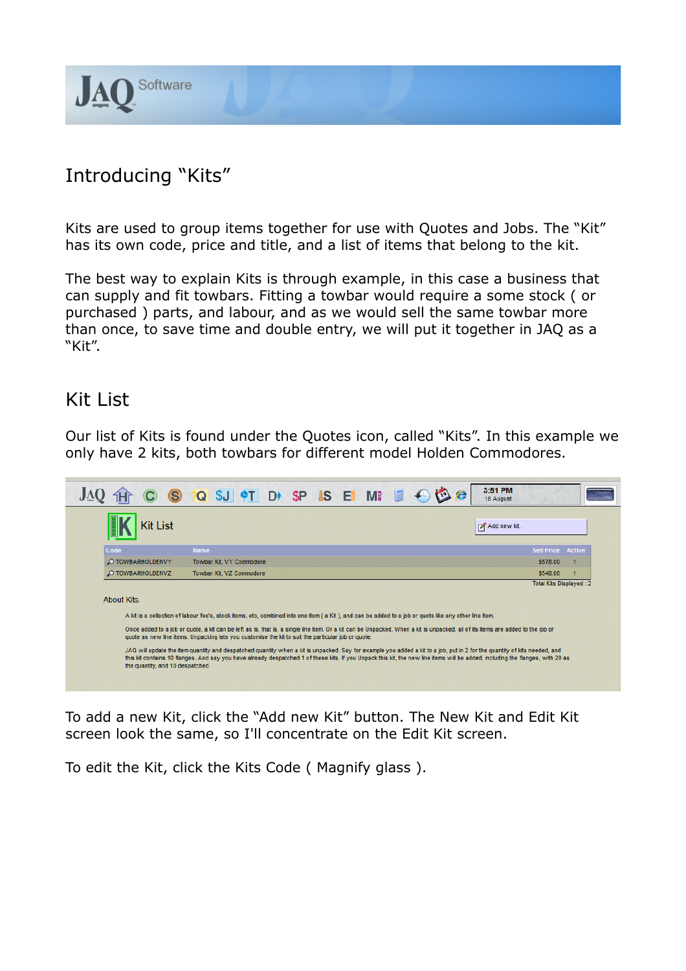

## Introducing "Kits"

Kits are used to group items together for use with Quotes and Jobs. The "Kit" has its own code, price and title, and a list of items that belong to the kit.

The best way to explain Kits is through example, in this case a business that can supply and fit towbars. Fitting a towbar would require a some stock ( or purchased ) parts, and labour, and as we would sell the same towbar more than once, to save time and double entry, we will put it together in JAQ as a "Kit".

#### Kit List

Our list of Kits is found under the Quotes icon, called "Kits". In this example we only have 2 kits, both towbars for different model Holden Commodores.



To add a new Kit, click the "Add new Kit" button. The New Kit and Edit Kit screen look the same, so I'll concentrate on the Edit Kit screen.

To edit the Kit, click the Kits Code ( Magnify glass ).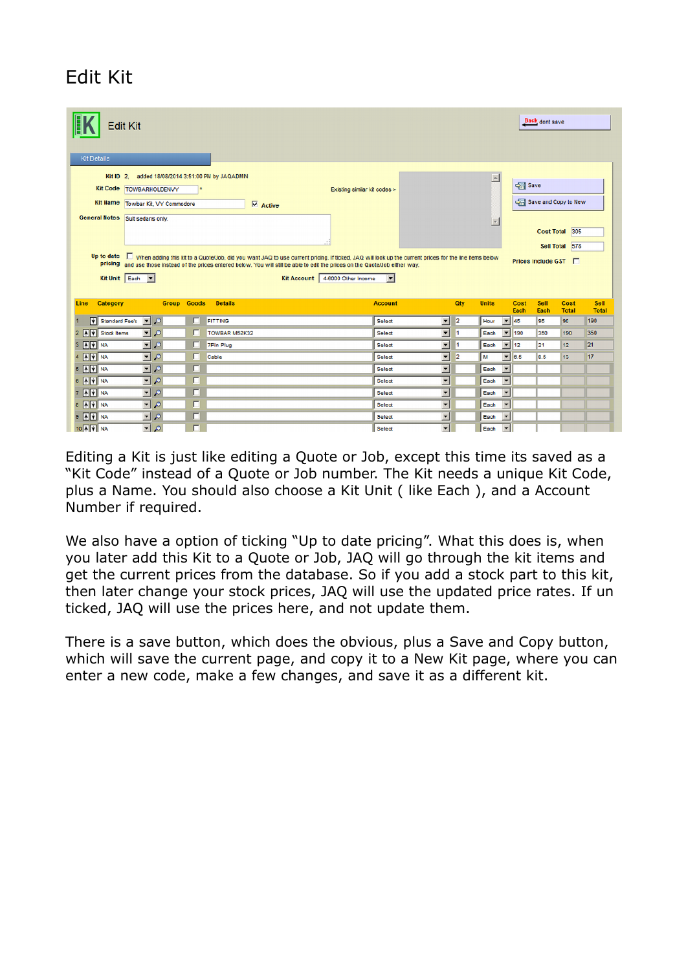# Edit Kit

|                         | <b>Edit Kit</b>                           |   |                  |                                   |                    |                                                                                                                                                                                      |                          |     |                  |                                 | Back dont save    |                      |                      |
|-------------------------|-------------------------------------------|---|------------------|-----------------------------------|--------------------|--------------------------------------------------------------------------------------------------------------------------------------------------------------------------------------|--------------------------|-----|------------------|---------------------------------|-------------------|----------------------|----------------------|
| <b>Kit Details</b>      |                                           |   |                  |                                   |                    |                                                                                                                                                                                      |                          |     |                  |                                 |                   |                      |                      |
| Kit ID $2$ ,            | added 18/08/2014 3:51:00 PM by JAQADMIN   |   |                  |                                   |                    |                                                                                                                                                                                      |                          |     |                  |                                 |                   |                      |                      |
|                         | Kit Code TOWBARHOLDENVY                   |   |                  |                                   |                    | Existing similar kit codes >                                                                                                                                                         |                          |     | $\blacktriangle$ |                                 | Save              |                      |                      |
| <b>Kit Name</b>         | Towbar Kit, VY Commodore                  |   |                  |                                   |                    |                                                                                                                                                                                      |                          |     |                  |                                 |                   | Save and Copy to New |                      |
|                         |                                           |   |                  | $\overline{\triangledown}$ Active |                    |                                                                                                                                                                                      |                          |     |                  |                                 |                   |                      |                      |
|                         | General Notes Suit sedans only.           |   |                  |                                   |                    |                                                                                                                                                                                      |                          |     | Y                |                                 |                   |                      |                      |
|                         |                                           |   |                  |                                   |                    |                                                                                                                                                                                      |                          |     |                  |                                 | <b>Cost Total</b> | 305                  |                      |
|                         |                                           |   |                  |                                   |                    |                                                                                                                                                                                      |                          |     |                  |                                 |                   | Sell Total 578       |                      |
|                         | Kit Unit Each v                           |   |                  |                                   | <b>Kit Account</b> | pricing and use those instead of the prices entered below. You will still be able to edit the prices on the Quote/Job either way.<br>4-6000 Other Income<br>$\overline{\phantom{a}}$ |                          |     |                  |                                 |                   |                      |                      |
| Category<br><b>Line</b> | <b>Group Goods</b>                        |   | <b>Details</b>   |                                   |                    | <b>Account</b>                                                                                                                                                                       |                          | Qty | <b>Units</b>     | Cost<br>Each                    | Sell<br>Each      | Cost<br><b>Total</b> | Sell<br><b>Total</b> |
| Standard Fee's          | $\frac{1}{2}$                             | г | <b>FITTING</b>   |                                   |                    | Select                                                                                                                                                                               | $\vert \mathbf{v} \vert$ | 2   | Hour             | $\overline{\phantom{a}}$<br>45  | 95                | 90                   | 190                  |
| 2 AV Stock Items        | $\blacksquare$                            | г | TOWBAR M52K32    |                                   |                    | Select                                                                                                                                                                               | $\overline{\phantom{0}}$ | 1   | Each             | $\overline{\phantom{a}}$<br>190 | 350               | 190                  | 350                  |
| 3 A V NA                | $\blacksquare$                            | г | <b>7Pin Plug</b> |                                   |                    | Select                                                                                                                                                                               | $\blacksquare$           | 1   | Each             | $\vert \cdot \vert$<br>12       | 21                | 12                   | 21                   |
| 4 A V NA                | $\frac{1}{2}$                             | г | Cable            |                                   |                    | Select                                                                                                                                                                               | $\blacksquare$           | 2   | M                | $\overline{\phantom{0}}$ 6.5    | 8.5               | 13                   | 17                   |
| 5 A V NA                | $\overline{\phantom{a}}$                  | г |                  |                                   |                    | Select                                                                                                                                                                               | ×                        |     | Each             | $\overline{\phantom{a}}$        |                   |                      |                      |
| 6 A V NA                | $\overline{\phantom{a}}$<br>$\mathcal{L}$ | г |                  |                                   |                    | Select                                                                                                                                                                               | ⊻                        |     | Each             | $\overline{\phantom{a}}$        |                   |                      |                      |
| 7 A V NA                | $\blacksquare$                            | г |                  |                                   |                    | Select                                                                                                                                                                               | E                        |     | Each             | $\overline{\phantom{a}}$        |                   |                      |                      |
| 8 A V NA                | $\blacktriangledown$<br>$\mathcal{L}$     | п |                  |                                   |                    | Select                                                                                                                                                                               | $\overline{\phantom{0}}$ |     | Each             | $\overline{\phantom{a}}$        |                   |                      |                      |
| 9 A V                   | $-0$                                      | г |                  |                                   |                    |                                                                                                                                                                                      |                          |     | Each             | $\overline{\phantom{a}}$        |                   |                      |                      |
|                         |                                           |   |                  |                                   |                    | Select                                                                                                                                                                               | $\blacksquare$           |     |                  |                                 |                   |                      |                      |

Editing a Kit is just like editing a Quote or Job, except this time its saved as a "Kit Code" instead of a Quote or Job number. The Kit needs a unique Kit Code, plus a Name. You should also choose a Kit Unit ( like Each ), and a Account Number if required.

We also have a option of ticking "Up to date pricing". What this does is, when you later add this Kit to a Quote or Job, JAQ will go through the kit items and get the current prices from the database. So if you add a stock part to this kit, then later change your stock prices, JAQ will use the updated price rates. If un ticked, JAQ will use the prices here, and not update them.

There is a save button, which does the obvious, plus a Save and Copy button, which will save the current page, and copy it to a New Kit page, where you can enter a new code, make a few changes, and save it as a different kit.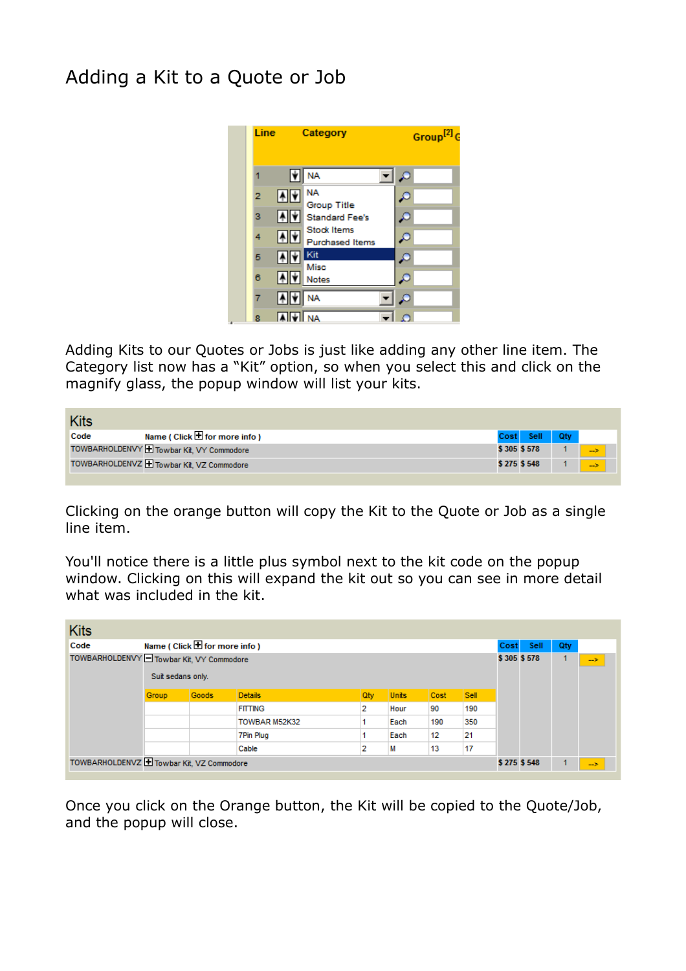## Adding a Kit to a Quote or Job



Adding Kits to our Quotes or Jobs is just like adding any other line item. The Category list now has a "Kit" option, so when you select this and click on the magnify glass, the popup window will list your kits.

| <b>Kits</b>                                         |             |      |     |    |
|-----------------------------------------------------|-------------|------|-----|----|
| Name ( Click $\blacksquare$ for more info )<br>Code | Cost        | Sell | Qtv |    |
| TOWBARHOLDENVY H Towbar Kit, VY Commodore           | \$305 \$578 |      |     | -5 |
| TOWBARHOLDENVZ Towbar Kit, VZ Commodore             | \$275 \$548 |      |     | -5 |

Clicking on the orange button will copy the Kit to the Quote or Job as a single line item.

You'll notice there is a little plus symbol next to the kit code on the popup window. Clicking on this will expand the kit out so you can see in more detail what was included in the kit.

| <b>Kits</b>                               |                   |                                             |                |     |              |      |             |             |      |     |               |
|-------------------------------------------|-------------------|---------------------------------------------|----------------|-----|--------------|------|-------------|-------------|------|-----|---------------|
| Code                                      |                   | Name ( $Click \blacksquare for more info )$ |                |     |              |      |             | Cost        | Sell | Qty |               |
| TOWBARHOLDENVY O Towbar Kit, VY Commodore |                   |                                             |                |     |              |      |             |             |      |     | $\rightarrow$ |
|                                           | Suit sedans only. |                                             |                |     |              |      |             |             |      |     |               |
|                                           | Group             | Goods                                       | <b>Details</b> | Qty | <b>Units</b> | Cost | <b>Sell</b> |             |      |     |               |
|                                           |                   |                                             | <b>FITTING</b> | 2   | Hour         | 90   | 190         |             |      |     |               |
|                                           |                   |                                             | TOWBAR M52K32  |     | Each         | 190  | 350         |             |      |     |               |
|                                           |                   |                                             | 7Pin Plug      |     | Each         | 12   | 21          |             |      |     |               |
|                                           |                   |                                             | Cable          | 2   | М            | 13   | 17          |             |      |     |               |
| TOWBARHOLDENVZ H Towbar Kit, VZ Commodore |                   |                                             |                |     |              |      |             | \$275 \$548 |      |     | $\rightarrow$ |

Once you click on the Orange button, the Kit will be copied to the Quote/Job, and the popup will close.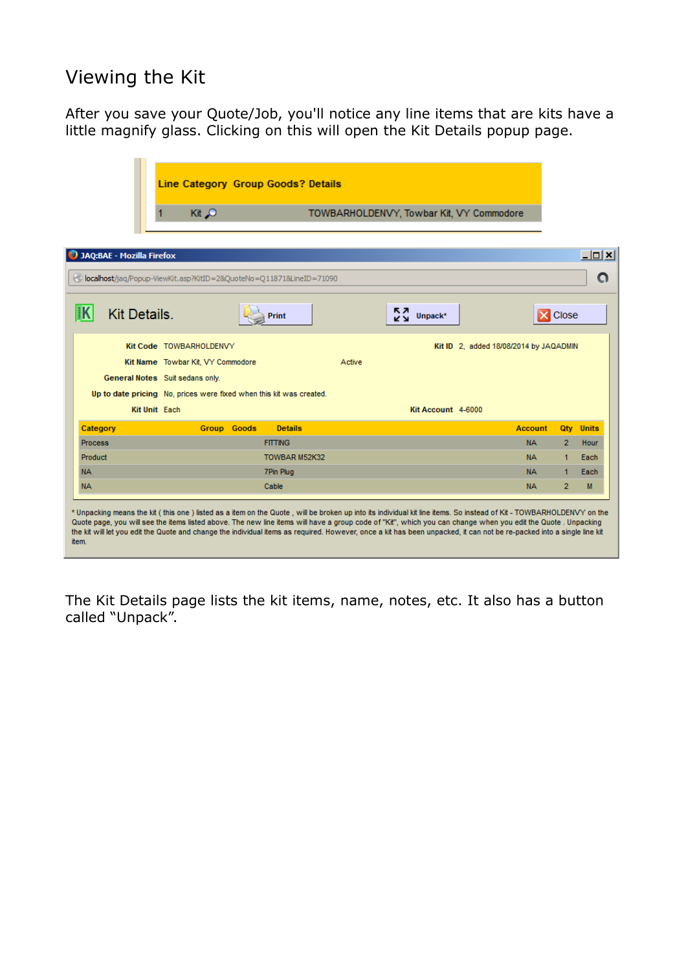### Viewing the Kit

After you save your Quote/Job, you'll notice any line items that are kits have a little magnify glass. Clicking on this will open the Kit Details popup page.



The Kit Details page lists the kit items, name, notes, etc. It also has a button called "Unpack".